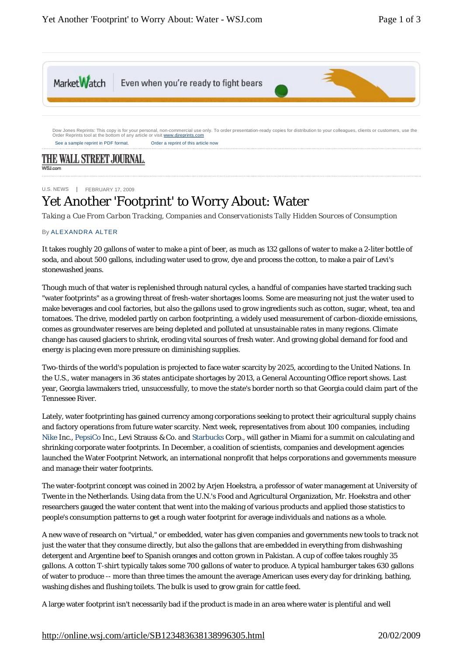

Dow Jones Reprints: This copy is for your personal, non-commercial use only. To order presentation-ready copies for distribution to your colleagues, clients or customers, use the<br>Order Reprints tool at the bottom of any ar See a sample reprint in PDF format. Order a reprint of this article now

## THE WALL STREET JOURNAL.

**WSLcom** 

U.S. NEWS | FEBRUARY 17, 2009

## Yet Another 'Footprint' to Worry About: Water

*Taking a Cue From Carbon Tracking, Companies and Conservationists Tally Hidden Sources of Consumption* 

## By ALEXANDRA ALTER

It takes roughly 20 gallons of water to make a pint of beer, as much as 132 gallons of water to make a 2-liter bottle of soda, and about 500 gallons, including water used to grow, dye and process the cotton, to make a pair of Levi's stonewashed jeans.

Though much of that water is replenished through natural cycles, a handful of companies have started tracking such "water footprints" as a growing threat of fresh-water shortages looms. Some are measuring not just the water used to make beverages and cool factories, but also the gallons used to grow ingredients such as cotton, sugar, wheat, tea and tomatoes. The drive, modeled partly on carbon footprinting, a widely used measurement of carbon-dioxide emissions, comes as groundwater reserves are being depleted and polluted at unsustainable rates in many regions. Climate change has caused glaciers to shrink, eroding vital sources of fresh water. And growing global demand for food and energy is placing even more pressure on diminishing supplies.

Two-thirds of the world's population is projected to face water scarcity by 2025, according to the United Nations. In the U.S., water managers in 36 states anticipate shortages by 2013, a General Accounting Office report shows. Last year, Georgia lawmakers tried, unsuccessfully, to move the state's border north so that Georgia could claim part of the Tennessee River.

Lately, water footprinting has gained currency among corporations seeking to protect their agricultural supply chains and factory operations from future water scarcity. Next week, representatives from about 100 companies, including Nike Inc., PepsiCo Inc., Levi Strauss & Co. and Starbucks Corp., will gather in Miami for a summit on calculating and shrinking corporate water footprints. In December, a coalition of scientists, companies and development agencies launched the Water Footprint Network, an international nonprofit that helps corporations and governments measure and manage their water footprints.

The water-footprint concept was coined in 2002 by Arjen Hoekstra, a professor of water management at University of Twente in the Netherlands. Using data from the U.N.'s Food and Agricultural Organization, Mr. Hoekstra and other researchers gauged the water content that went into the making of various products and applied those statistics to people's consumption patterns to get a rough water footprint for average individuals and nations as a whole.

A new wave of research on "virtual," or embedded, water has given companies and governments new tools to track not just the water that they consume directly, but also the gallons that are embedded in everything from dishwashing detergent and Argentine beef to Spanish oranges and cotton grown in Pakistan. A cup of coffee takes roughly 35 gallons. A cotton T-shirt typically takes some 700 gallons of water to produce. A typical hamburger takes 630 gallons of water to produce -- more than three times the amount the average American uses every day for drinking, bathing, washing dishes and flushing toilets. The bulk is used to grow grain for cattle feed.

A large water footprint isn't necessarily bad if the product is made in an area where water is plentiful and well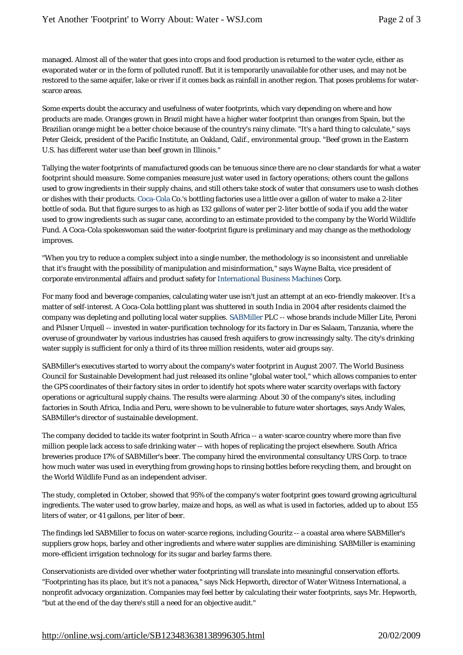managed. Almost all of the water that goes into crops and food production is returned to the water cycle, either as evaporated water or in the form of polluted runoff. But it is temporarily unavailable for other uses, and may not be restored to the same aquifer, lake or river if it comes back as rainfall in another region. That poses problems for waterscarce areas.

Some experts doubt the accuracy and usefulness of water footprints, which vary depending on where and how products are made. Oranges grown in Brazil might have a higher water footprint than oranges from Spain, but the Brazilian orange might be a better choice because of the country's rainy climate. "It's a hard thing to calculate," says Peter Gleick, president of the Pacific Institute, an Oakland, Calif., environmental group. "Beef grown in the Eastern U.S. has different water use than beef grown in Illinois."

Tallying the water footprints of manufactured goods can be tenuous since there are no clear standards for what a water footprint should measure. Some companies measure just water used in factory operations; others count the gallons used to grow ingredients in their supply chains, and still others take stock of water that consumers use to wash clothes or dishes with their products. Coca-Cola Co.'s bottling factories use a little over a gallon of water to make a 2-liter bottle of soda. But that figure surges to as high as 132 gallons of water per 2-liter bottle of soda if you add the water used to grow ingredients such as sugar cane, according to an estimate provided to the company by the World Wildlife Fund. A Coca-Cola spokeswoman said the water-footprint figure is preliminary and may change as the methodology improves.

"When you try to reduce a complex subject into a single number, the methodology is so inconsistent and unreliable that it's fraught with the possibility of manipulation and misinformation," says Wayne Balta, vice president of corporate environmental affairs and product safety for International Business Machines Corp.

For many food and beverage companies, calculating water use isn't just an attempt at an eco-friendly makeover. It's a matter of self-interest. A Coca-Cola bottling plant was shuttered in south India in 2004 after residents claimed the company was depleting and polluting local water supplies. SABMiller PLC -- whose brands include Miller Lite, Peroni and Pilsner Urquell -- invested in water-purification technology for its factory in Dar es Salaam, Tanzania, where the overuse of groundwater by various industries has caused fresh aquifers to grow increasingly salty. The city's drinking water supply is sufficient for only a third of its three million residents, water aid groups say.

SABMiller's executives started to worry about the company's water footprint in August 2007. The World Business Council for Sustainable Development had just released its online "global water tool," which allows companies to enter the GPS coordinates of their factory sites in order to identify hot spots where water scarcity overlaps with factory operations or agricultural supply chains. The results were alarming: About 30 of the company's sites, including factories in South Africa, India and Peru, were shown to be vulnerable to future water shortages, says Andy Wales, SABMiller's director of sustainable development.

The company decided to tackle its water footprint in South Africa -- a water-scarce country where more than five million people lack access to safe drinking water -- with hopes of replicating the project elsewhere. South Africa breweries produce 17% of SABMiller's beer. The company hired the environmental consultancy URS Corp. to trace how much water was used in everything from growing hops to rinsing bottles before recycling them, and brought on the World Wildlife Fund as an independent adviser.

The study, completed in October, showed that 95% of the company's water footprint goes toward growing agricultural ingredients. The water used to grow barley, maize and hops, as well as what is used in factories, added up to about 155 liters of water, or 41 gallons, per liter of beer.

The findings led SABMiller to focus on water-scarce regions, including Gouritz -- a coastal area where SABMiller's suppliers grow hops, barley and other ingredients and where water supplies are diminishing. SABMiller is examining more-efficient irrigation technology for its sugar and barley farms there.

Conservationists are divided over whether water footprinting will translate into meaningful conservation efforts. "Footprinting has its place, but it's not a panacea," says Nick Hepworth, director of Water Witness International, a nonprofit advocacy organization. Companies may feel better by calculating their water footprints, says Mr. Hepworth, "but at the end of the day there's still a need for an objective audit."

<http://online.wsj.com/article/SB123483638138996305.html> 20/02/2009